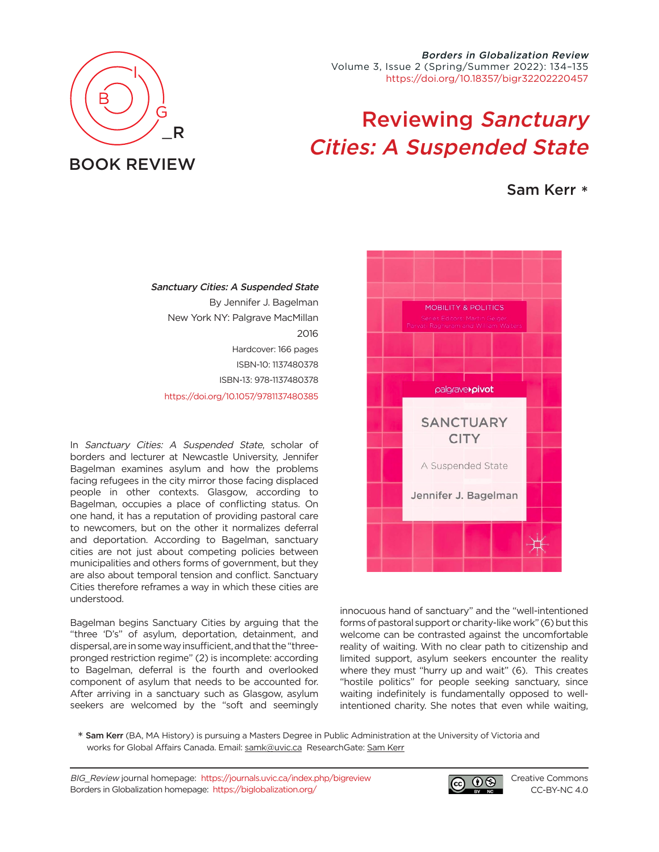Borders in Globalization Review Volume 3, Issue 2 (Spring/Summer 2022): 134–135 [https://doi.org/10.18357/bigr32202220457](https://doi.org/10.18357/bigr32202220457 )

## Reviewing Sanctuary Cities: A Suspended State

## Sam Kerr \*



innocuous hand of sanctuary" and the "well-intentioned forms of pastoral support or charity-like work" (6) but this welcome can be contrasted against the uncomfortable reality of waiting. With no clear path to citizenship and limited support, asylum seekers encounter the reality where they must "hurry up and wait" (6). This creates "hostile politics" for people seeking sanctuary, since waiting indefinitely is fundamentally opposed to wellintentioned charity. She notes that even while waiting,

\* Sam Kerr (BA, MA History) is pursuing a Masters Degree in Public Administration at the University of Victoria and works for Global Affairs Canada. Email: [samk@uvic.ca](mailto:samk%40uvic.ca?subject=) ResearchGate: [Sam Kerr](https://www.researchgate.net/profile/Sam-Kerr-2)

BIG\_Review journal homepage: <https://journals.uvic.ca/index.php/bigreview> Borders in Globalization homepage: <https://biglobalization.org/>



[Creative Commons](https://creativecommons.org/licenses/by-nc/4.0/) [CC-BY-NC 4.0](https://creativecommons.org/licenses/by-nc/4.0/)



## Sanctuary Cities: A Suspended State By Jennifer J. Bagelman New York NY: Palgrave MacMillan 2016 Hardcover: 166 pages ISBN-10: 1137480378 ISBN-13: 978-1137480378

[https://doi.org/10.1057/9781137480385](https://doi.org/10.1057/9781137480385  )

In Sanctuary Cities: A Suspended State, scholar of borders and lecturer at Newcastle University, Jennifer Bagelman examines asylum and how the problems facing refugees in the city mirror those facing displaced people in other contexts. Glasgow, according to Bagelman, occupies a place of conflicting status. On one hand, it has a reputation of providing pastoral care to newcomers, but on the other it normalizes deferral and deportation. According to Bagelman, sanctuary cities are not just about competing policies between municipalities and others forms of government, but they are also about temporal tension and conflict. Sanctuary Cities therefore reframes a way in which these cities are understood.

Bagelman begins Sanctuary Cities by arguing that the "three 'D's" of asylum, deportation, detainment, and dispersal, are in some way insufficient, and that the "threepronged restriction regime" (2) is incomplete: according to Bagelman, deferral is the fourth and overlooked component of asylum that needs to be accounted for. After arriving in a sanctuary such as Glasgow, asylum seekers are welcomed by the "soft and seemingly